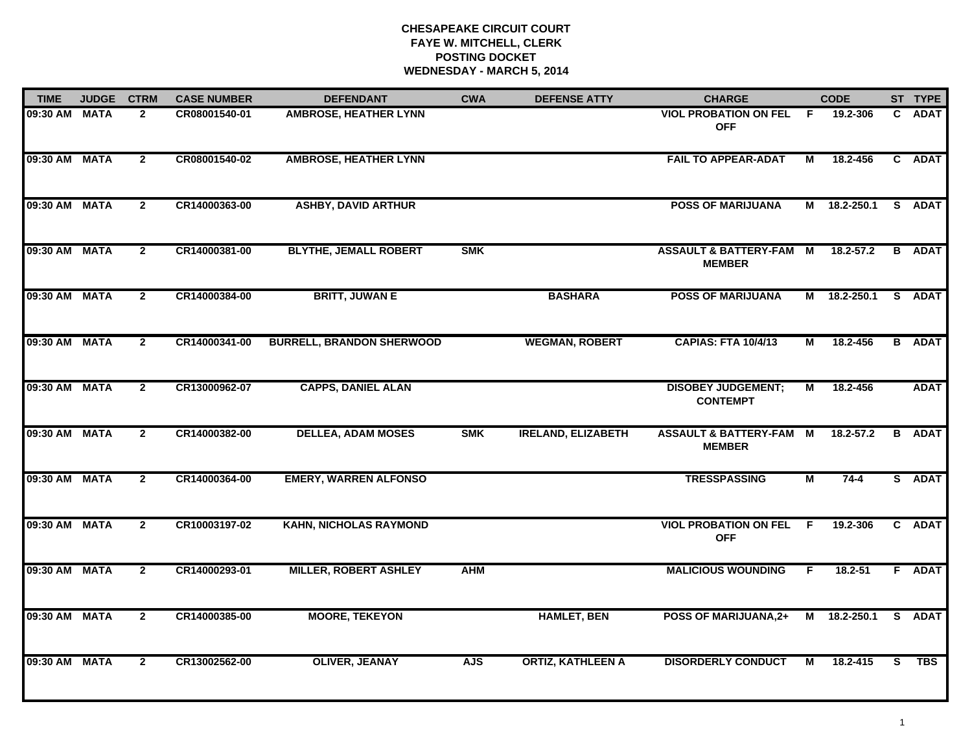| <b>TIME</b>   | <b>JUDGE</b> | <b>CTRM</b>    | <b>CASE NUMBER</b> | <b>DEFENDANT</b>                 | <b>CWA</b> | <b>DEFENSE ATTY</b>       | <b>CHARGE</b>                                       |    | <b>CODE</b>   |    | ST TYPE       |
|---------------|--------------|----------------|--------------------|----------------------------------|------------|---------------------------|-----------------------------------------------------|----|---------------|----|---------------|
| 09:30 AM MATA |              | $\mathbf{2}$   | CR08001540-01      | <b>AMBROSE, HEATHER LYNN</b>     |            |                           | <b>VIOL PROBATION ON FEL</b><br><b>OFF</b>          | F  | 19.2-306      | C. | <b>ADAT</b>   |
| 09:30 AM MATA |              | $\overline{2}$ | CR08001540-02      | <b>AMBROSE, HEATHER LYNN</b>     |            |                           | <b>FAIL TO APPEAR-ADAT</b>                          | М  | 18.2-456      |    | C ADAT        |
| 09:30 AM MATA |              | $\mathbf{2}$   | CR14000363-00      | <b>ASHBY, DAVID ARTHUR</b>       |            |                           | <b>POSS OF MARIJUANA</b>                            |    | M 18.2-250.1  |    | S ADAT        |
| 09:30 AM MATA |              | $\overline{2}$ | CR14000381-00      | <b>BLYTHE, JEMALL ROBERT</b>     | <b>SMK</b> |                           | <b>ASSAULT &amp; BATTERY-FAM M</b><br><b>MEMBER</b> |    | 18.2-57.2     |    | <b>B</b> ADAT |
| 09:30 AM MATA |              | $\mathbf{2}$   | CR14000384-00      | <b>BRITT, JUWAN E</b>            |            | <b>BASHARA</b>            | <b>POSS OF MARIJUANA</b>                            |    | M 18.2-250.1  |    | S ADAT        |
| 09:30 AM MATA |              | $\mathbf{2}$   | CR14000341-00      | <b>BURRELL, BRANDON SHERWOOD</b> |            | <b>WEGMAN, ROBERT</b>     | <b>CAPIAS: FTA 10/4/13</b>                          | М  | 18.2-456      |    | <b>B</b> ADAT |
| 09:30 AM MATA |              | $\mathbf{2}$   | CR13000962-07      | <b>CAPPS, DANIEL ALAN</b>        |            |                           | <b>DISOBEY JUDGEMENT;</b><br><b>CONTEMPT</b>        | М  | 18.2-456      |    | <b>ADAT</b>   |
| 09:30 AM MATA |              | $\mathbf{2}$   | CR14000382-00      | <b>DELLEA, ADAM MOSES</b>        | <b>SMK</b> | <b>IRELAND, ELIZABETH</b> | <b>ASSAULT &amp; BATTERY-FAM M</b><br><b>MEMBER</b> |    | $18.2 - 57.2$ |    | <b>B</b> ADAT |
| 09:30 AM MATA |              | $\mathbf{2}$   | CR14000364-00      | <b>EMERY, WARREN ALFONSO</b>     |            |                           | <b>TRESSPASSING</b>                                 | M  | $74 - 4$      |    | S ADAT        |
| 09:30 AM MATA |              | $\overline{2}$ | CR10003197-02      | <b>KAHN, NICHOLAS RAYMOND</b>    |            |                           | <b>VIOL PROBATION ON FEL F</b><br><b>OFF</b>        |    | 19.2-306      |    | C ADAT        |
| 09:30 AM MATA |              | $\overline{2}$ | CR14000293-01      | <b>MILLER, ROBERT ASHLEY</b>     | <b>AHM</b> |                           | <b>MALICIOUS WOUNDING</b>                           | F. | $18.2 - 51$   |    | F ADAT        |
| 09:30 AM MATA |              | $\mathbf{2}$   | CR14000385-00      | <b>MOORE, TEKEYON</b>            |            | <b>HAMLET, BEN</b>        | <b>POSS OF MARIJUANA,2+</b>                         | M  | 18.2-250.1    |    | S ADAT        |
| 09:30 AM MATA |              | $\mathbf{2}$   | CR13002562-00      | <b>OLIVER, JEANAY</b>            | <b>AJS</b> | <b>ORTIZ, KATHLEEN A</b>  | <b>DISORDERLY CONDUCT</b>                           | M  | 18.2-415      | S. | <b>TBS</b>    |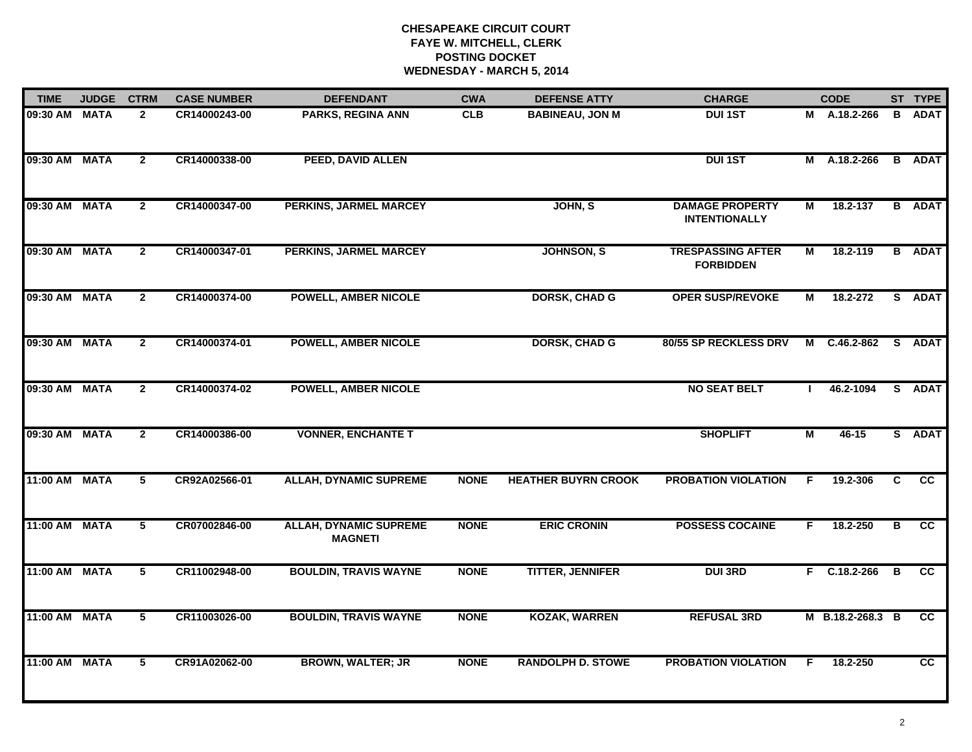| <b>TIME</b>   | <b>JUDGE</b> | <b>CTRM</b>     | <b>CASE NUMBER</b> | <b>DEFENDANT</b>                                | <b>CWA</b>  | <b>DEFENSE ATTY</b>        | <b>CHARGE</b>                                  |    | <b>CODE</b>         |   | ST TYPE       |
|---------------|--------------|-----------------|--------------------|-------------------------------------------------|-------------|----------------------------|------------------------------------------------|----|---------------------|---|---------------|
| 09:30 AM MATA |              | $\mathbf{2}$    | CR14000243-00      | PARKS, REGINA ANN                               | <b>CLB</b>  | <b>BABINEAU, JON M</b>     | <b>DUI 1ST</b>                                 |    | M A.18.2-266        |   | <b>B</b> ADAT |
| 09:30 AM MATA |              | $\overline{2}$  | CR14000338-00      | PEED, DAVID ALLEN                               |             |                            | <b>DUI 1ST</b>                                 |    | M A.18.2-266        |   | <b>B</b> ADAT |
| 09:30 AM MATA |              | $\overline{2}$  | CR14000347-00      | PERKINS, JARMEL MARCEY                          |             | JOHN, S                    | <b>DAMAGE PROPERTY</b><br><b>INTENTIONALLY</b> | М  | 18.2-137            |   | <b>B</b> ADAT |
| 09:30 AM MATA |              | $\overline{2}$  | CR14000347-01      | <b>PERKINS, JARMEL MARCEY</b>                   |             | JOHNSON, S                 | <b>TRESPASSING AFTER</b><br><b>FORBIDDEN</b>   | М  | 18.2-119            |   | <b>B</b> ADAT |
| 09:30 AM MATA |              | $\mathbf{2}$    | CR14000374-00      | <b>POWELL, AMBER NICOLE</b>                     |             | <b>DORSK, CHAD G</b>       | <b>OPER SUSP/REVOKE</b>                        | Μ  | 18.2-272            |   | S ADAT        |
| 09:30 AM MATA |              | $\mathbf{2}$    | CR14000374-01      | <b>POWELL, AMBER NICOLE</b>                     |             | <b>DORSK, CHAD G</b>       | 80/55 SP RECKLESS DRV                          |    | M C.46.2-862 S ADAT |   |               |
| 09:30 AM MATA |              | $\overline{2}$  | CR14000374-02      | <b>POWELL, AMBER NICOLE</b>                     |             |                            | <b>NO SEAT BELT</b>                            | л. | 46.2-1094           |   | S ADAT        |
| 09:30 AM MATA |              | $\overline{2}$  | CR14000386-00      | <b>VONNER, ENCHANTE T</b>                       |             |                            | <b>SHOPLIFT</b>                                | М  | $46 - 15$           |   | S ADAT        |
| 11:00 AM MATA |              | 5               | CR92A02566-01      | <b>ALLAH, DYNAMIC SUPREME</b>                   | <b>NONE</b> | <b>HEATHER BUYRN CROOK</b> | <b>PROBATION VIOLATION</b>                     | F  | 19.2-306            | C | <b>CC</b>     |
| 11:00 AM MATA |              | 5               | CR07002846-00      | <b>ALLAH, DYNAMIC SUPREME</b><br><b>MAGNETI</b> | <b>NONE</b> | <b>ERIC CRONIN</b>         | <b>POSSESS COCAINE</b>                         | F. | 18.2-250            | В | cc            |
| 11:00 AM MATA |              | 5               | CR11002948-00      | <b>BOULDIN, TRAVIS WAYNE</b>                    | <b>NONE</b> | <b>TITTER, JENNIFER</b>    | <b>DUI 3RD</b>                                 |    | F C.18.2-266        | B | <b>CC</b>     |
| 11:00 AM MATA |              | $5\phantom{.0}$ | CR11003026-00      | <b>BOULDIN, TRAVIS WAYNE</b>                    | <b>NONE</b> | <b>KOZAK, WARREN</b>       | <b>REFUSAL 3RD</b>                             |    | M B.18.2-268.3 B    |   | <b>CC</b>     |
| 11:00 AM MATA |              | $5\phantom{.0}$ | CR91A02062-00      | <b>BROWN, WALTER; JR</b>                        | <b>NONE</b> | <b>RANDOLPH D. STOWE</b>   | <b>PROBATION VIOLATION</b>                     | E  | 18.2-250            |   | cc            |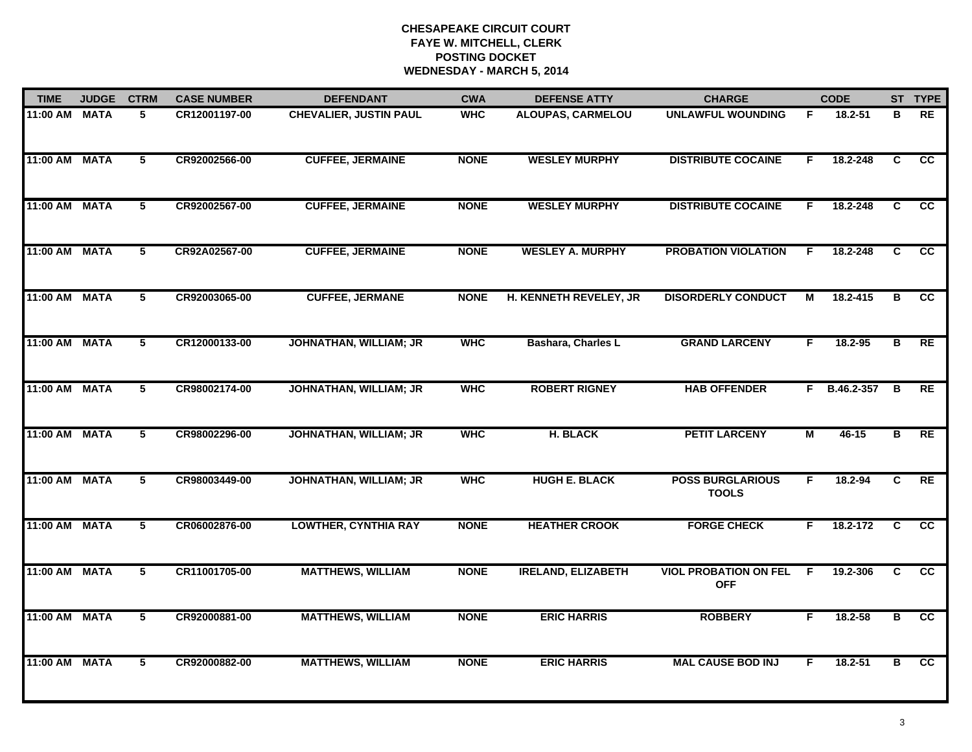| <b>TIME</b>   | <b>JUDGE</b> | <b>CTRM</b>     | <b>CASE NUMBER</b> | <b>DEFENDANT</b>              | <b>CWA</b>  | <b>DEFENSE ATTY</b>       | <b>CHARGE</b>                              |                | <b>CODE</b>  |                         | ST TYPE         |
|---------------|--------------|-----------------|--------------------|-------------------------------|-------------|---------------------------|--------------------------------------------|----------------|--------------|-------------------------|-----------------|
| 11:00 AM      | <b>MATA</b>  | 5               | CR12001197-00      | <b>CHEVALIER, JUSTIN PAUL</b> | <b>WHC</b>  | ALOUPAS, CARMELOU         | <b>UNLAWFUL WOUNDING</b>                   | F.             | 18.2-51      | в                       | RE              |
| 11:00 AM MATA |              | 5               | CR92002566-00      | <b>CUFFEE, JERMAINE</b>       | <b>NONE</b> | <b>WESLEY MURPHY</b>      | <b>DISTRIBUTE COCAINE</b>                  | F.             | 18.2-248     | C.                      | <b>CC</b>       |
| 11:00 AM      | <b>MATA</b>  | $\overline{5}$  | CR92002567-00      | <b>CUFFEE, JERMAINE</b>       | <b>NONE</b> | <b>WESLEY MURPHY</b>      | <b>DISTRIBUTE COCAINE</b>                  | F.             | 18.2-248     | $\overline{c}$          | $\overline{cc}$ |
| 11:00 AM      | <b>MATA</b>  | 5               | CR92A02567-00      | <b>CUFFEE, JERMAINE</b>       | <b>NONE</b> | <b>WESLEY A. MURPHY</b>   | <b>PROBATION VIOLATION</b>                 | F.             | 18.2-248     | C                       | <b>CC</b>       |
| 11:00 AM MATA |              | 5               | CR92003065-00      | <b>CUFFEE, JERMANE</b>        | <b>NONE</b> | H. KENNETH REVELEY, JR    | <b>DISORDERLY CONDUCT</b>                  | М              | 18.2-415     | В                       | <b>CC</b>       |
| 11:00 AM MATA |              | 5               | CR12000133-00      | <b>JOHNATHAN, WILLIAM; JR</b> | <b>WHC</b>  | Bashara, Charles L        | <b>GRAND LARCENY</b>                       | F.             | 18.2-95      | в                       | RE              |
| 11:00 AM MATA |              | $\overline{5}$  | CR98002174-00      | <b>JOHNATHAN, WILLIAM; JR</b> | <b>WHC</b>  | <b>ROBERT RIGNEY</b>      | <b>HAB OFFENDER</b>                        | F.             | B.46.2-357 B |                         | RE              |
| 11:00 AM      | <b>MATA</b>  | $\overline{5}$  | CR98002296-00      | <b>JOHNATHAN, WILLIAM; JR</b> | <b>WHC</b>  | <b>H. BLACK</b>           | <b>PETIT LARCENY</b>                       | $\overline{M}$ | $46 - 15$    | $\overline{\mathbf{B}}$ | RE              |
| 11:00 AM      | <b>MATA</b>  | 5               | CR98003449-00      | JOHNATHAN, WILLIAM; JR        | <b>WHC</b>  | <b>HUGH E. BLACK</b>      | <b>POSS BURGLARIOUS</b><br><b>TOOLS</b>    | F.             | 18.2-94      | C                       | RE              |
| 11:00 AM      | <b>MATA</b>  | 5               | CR06002876-00      | <b>LOWTHER, CYNTHIA RAY</b>   | <b>NONE</b> | <b>HEATHER CROOK</b>      | <b>FORGE CHECK</b>                         | F.             | 18.2-172     | C                       | <b>CC</b>       |
| 11:00 AM MATA |              | $5\phantom{.0}$ | CR11001705-00      | <b>MATTHEWS, WILLIAM</b>      | <b>NONE</b> | <b>IRELAND, ELIZABETH</b> | <b>VIOL PROBATION ON FEL</b><br><b>OFF</b> | -F             | 19.2-306     | C.                      | $\overline{cc}$ |
| 11:00 AM      | <b>MATA</b>  | 5               | CR92000881-00      | <b>MATTHEWS, WILLIAM</b>      | <b>NONE</b> | <b>ERIC HARRIS</b>        | <b>ROBBERY</b>                             | F.             | $18.2 - 58$  | в                       | $\overline{cc}$ |
| 11:00 AM      | <b>MATA</b>  | $\overline{5}$  | CR92000882-00      | <b>MATTHEWS, WILLIAM</b>      | <b>NONE</b> | <b>ERIC HARRIS</b>        | <b>MAL CAUSE BOD INJ</b>                   | F.             | $18.2 - 51$  | в                       | cc              |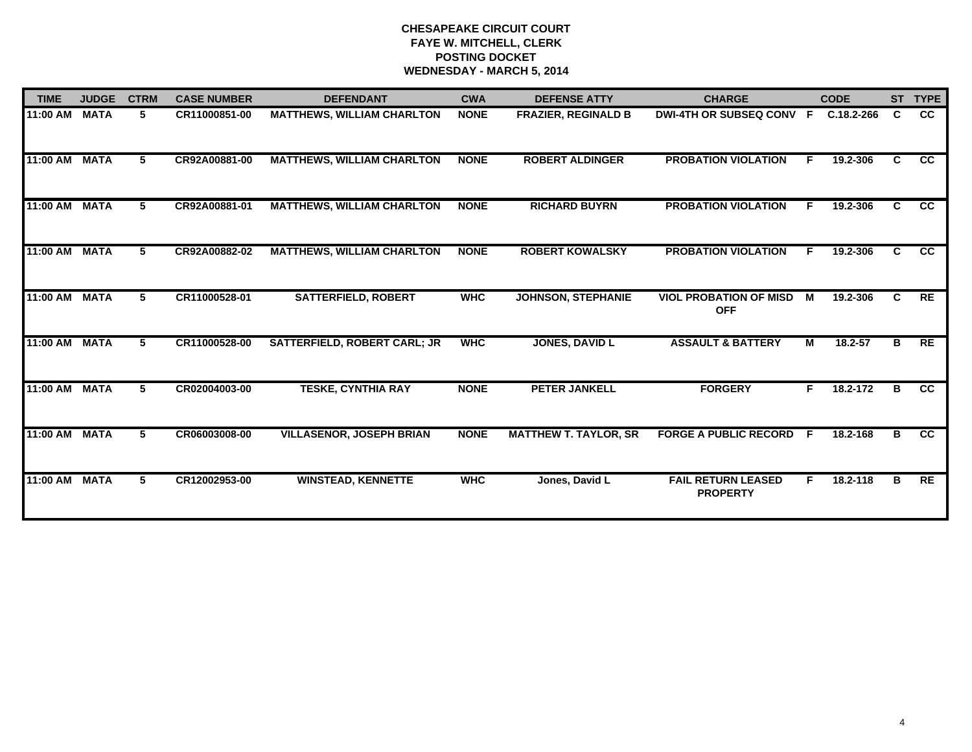| <b>TIME</b> | <b>JUDGE</b> | <b>CTRM</b>    | <b>CASE NUMBER</b> | <b>DEFENDANT</b>                    | <b>CWA</b>  | <b>DEFENSE ATTY</b>          | <b>CHARGE</b>                                |    | <b>CODE</b> |    | ST TYPE         |
|-------------|--------------|----------------|--------------------|-------------------------------------|-------------|------------------------------|----------------------------------------------|----|-------------|----|-----------------|
| 11:00 AM    | <b>MATA</b>  | 5              | CR11000851-00      | <b>MATTHEWS, WILLIAM CHARLTON</b>   | <b>NONE</b> | <b>FRAZIER, REGINALD B</b>   | <b>DWI-4TH OR SUBSEQ CONV</b>                | -F | C.18.2-266  | C  | <b>CC</b>       |
| 11:00 AM    | <b>MATA</b>  | 5.             | CR92A00881-00      | <b>MATTHEWS, WILLIAM CHARLTON</b>   | <b>NONE</b> | <b>ROBERT ALDINGER</b>       | <b>PROBATION VIOLATION</b>                   | F. | 19.2-306    | C  | $\overline{cc}$ |
| 11:00 AM    | <b>MATA</b>  | 5.             | CR92A00881-01      | <b>MATTHEWS, WILLIAM CHARLTON</b>   | <b>NONE</b> | <b>RICHARD BUYRN</b>         | <b>PROBATION VIOLATION</b>                   |    | 19.2-306    | C. | $\overline{cc}$ |
| 11:00 AM    | <b>MATA</b>  | 5              | CR92A00882-02      | <b>MATTHEWS, WILLIAM CHARLTON</b>   | <b>NONE</b> | <b>ROBERT KOWALSKY</b>       | <b>PROBATION VIOLATION</b>                   | F. | 19.2-306    | C. | <b>CC</b>       |
| 11:00 AM    | <b>MATA</b>  | 5              | CR11000528-01      | <b>SATTERFIELD, ROBERT</b>          | <b>WHC</b>  | <b>JOHNSON, STEPHANIE</b>    | <b>VIOL PROBATION OF MISD</b><br><b>OFF</b>  | М  | 19.2-306    | C  | <b>RE</b>       |
| 11:00 AM    | <b>MATA</b>  | 5 <sup>5</sup> | CR11000528-00      | <b>SATTERFIELD, ROBERT CARL; JR</b> | <b>WHC</b>  | <b>JONES, DAVID L</b>        | <b>ASSAULT &amp; BATTERY</b>                 | М  | $18.2 - 57$ | в  | RE              |
| 11:00 AM    | <b>MATA</b>  | 5              | CR02004003-00      | <b>TESKE, CYNTHIA RAY</b>           | <b>NONE</b> | <b>PETER JANKELL</b>         | <b>FORGERY</b>                               | F. | 18.2-172    | B  | $\overline{cc}$ |
| 11:00 AM    | <b>MATA</b>  | 5              | CR06003008-00      | <b>VILLASENOR, JOSEPH BRIAN</b>     | <b>NONE</b> | <b>MATTHEW T. TAYLOR, SR</b> | <b>FORGE A PUBLIC RECORD</b>                 | -F | 18.2-168    | В  | $\overline{cc}$ |
| 11:00 AM    | <b>MATA</b>  | 5.             | CR12002953-00      | <b>WINSTEAD, KENNETTE</b>           | <b>WHC</b>  | Jones, David L               | <b>FAIL RETURN LEASED</b><br><b>PROPERTY</b> | F. | 18.2-118    | в  | <b>RE</b>       |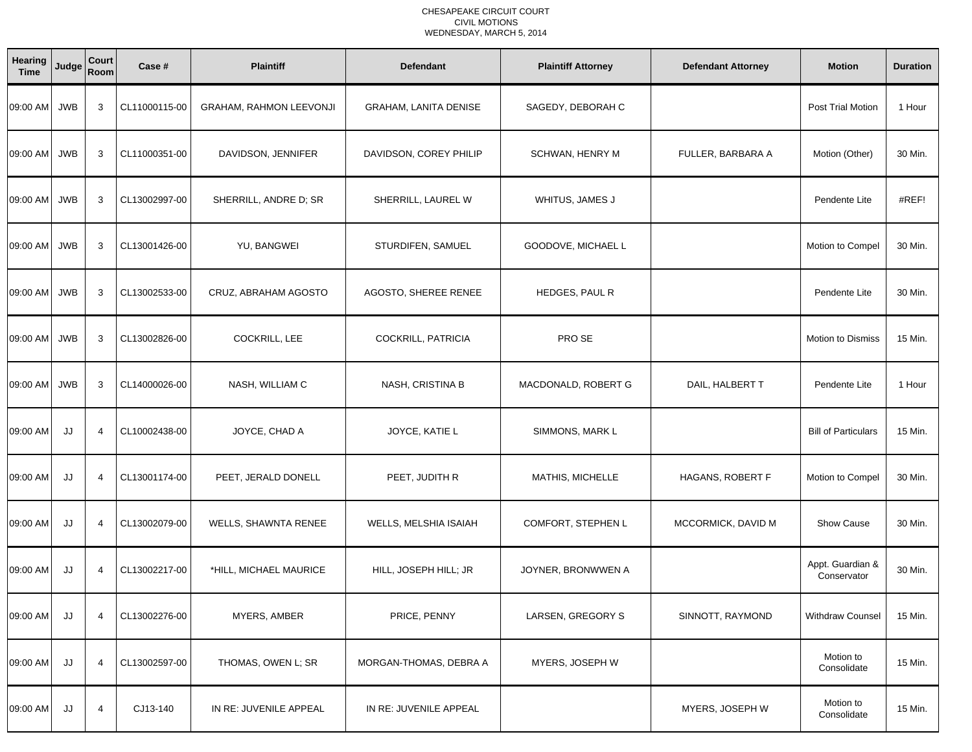#### CHESAPEAKE CIRCUIT COURT CIVIL MOTIONSWEDNESDAY, MARCH 5, 2014

| Hearing<br><b>Time</b> | Judge      | Court<br>Room  | Case #        | <b>Plaintiff</b>        | <b>Defendant</b>             | <b>Plaintiff Attorney</b> | <b>Defendant Attorney</b> | <b>Motion</b>                   | <b>Duration</b> |
|------------------------|------------|----------------|---------------|-------------------------|------------------------------|---------------------------|---------------------------|---------------------------------|-----------------|
| 09:00 AM               | <b>JWB</b> | 3              | CL11000115-00 | GRAHAM, RAHMON LEEVONJI | <b>GRAHAM, LANITA DENISE</b> | SAGEDY, DEBORAH C         |                           | Post Trial Motion               | 1 Hour          |
| 09:00 AM               | <b>JWB</b> | 3              | CL11000351-00 | DAVIDSON, JENNIFER      | DAVIDSON, COREY PHILIP       | SCHWAN, HENRY M           | FULLER, BARBARA A         | Motion (Other)                  | 30 Min.         |
| 09:00 AM               | <b>JWB</b> | 3              | CL13002997-00 | SHERRILL, ANDRE D; SR   | SHERRILL, LAUREL W           | WHITUS, JAMES J           |                           | Pendente Lite                   | #REF!           |
| 09:00 AM               | <b>JWB</b> | 3              | CL13001426-00 | YU, BANGWEI             | STURDIFEN, SAMUEL            | GOODOVE, MICHAEL L        |                           | Motion to Compel                | 30 Min.         |
| 09:00 AM               | <b>JWB</b> | 3              | CL13002533-00 | CRUZ, ABRAHAM AGOSTO    | AGOSTO, SHEREE RENEE         | HEDGES, PAUL R            |                           | Pendente Lite                   | 30 Min.         |
| 09:00 AM               | <b>JWB</b> | 3              | CL13002826-00 | COCKRILL, LEE           | COCKRILL, PATRICIA           | PRO SE                    |                           | <b>Motion to Dismiss</b>        | 15 Min.         |
| 09:00 AM               | <b>JWB</b> | 3              | CL14000026-00 | NASH, WILLIAM C         | NASH, CRISTINA B             | MACDONALD, ROBERT G       | DAIL, HALBERT T           | Pendente Lite                   | 1 Hour          |
| 09:00 AM               | JJ         | $\overline{4}$ | CL10002438-00 | JOYCE, CHAD A           | JOYCE, KATIE L               | SIMMONS, MARK L           |                           | <b>Bill of Particulars</b>      | 15 Min.         |
| 09:00 AM               | JJ         | $\overline{4}$ | CL13001174-00 | PEET, JERALD DONELL     | PEET, JUDITH R               | MATHIS, MICHELLE          | HAGANS, ROBERT F          | Motion to Compel                | 30 Min.         |
| 09:00 AM               | JJ         | $\overline{4}$ | CL13002079-00 | WELLS, SHAWNTA RENEE    | WELLS, MELSHIA ISAIAH        | COMFORT, STEPHEN L        | MCCORMICK, DAVID M        | <b>Show Cause</b>               | 30 Min.         |
| 09:00 AM               | JJ         | 4              | CL13002217-00 | *HILL, MICHAEL MAURICE  | HILL, JOSEPH HILL; JR        | JOYNER, BRONWWEN A        |                           | Appt. Guardian &<br>Conservator | 30 Min.         |
| 09:00 AM               | JJ         | 4              | CL13002276-00 | MYERS, AMBER            | PRICE, PENNY                 | LARSEN, GREGORY S         | SINNOTT, RAYMOND          | <b>Withdraw Counsel</b>         | 15 Min.         |
| 09:00 AM               | JJ         | 4              | CL13002597-00 | THOMAS, OWEN L; SR      | MORGAN-THOMAS, DEBRA A       | MYERS, JOSEPH W           |                           | Motion to<br>Consolidate        | 15 Min.         |
| 09:00 AM               | JJ         | 4              | CJ13-140      | IN RE: JUVENILE APPEAL  | IN RE: JUVENILE APPEAL       |                           | MYERS, JOSEPH W           | Motion to<br>Consolidate        | 15 Min.         |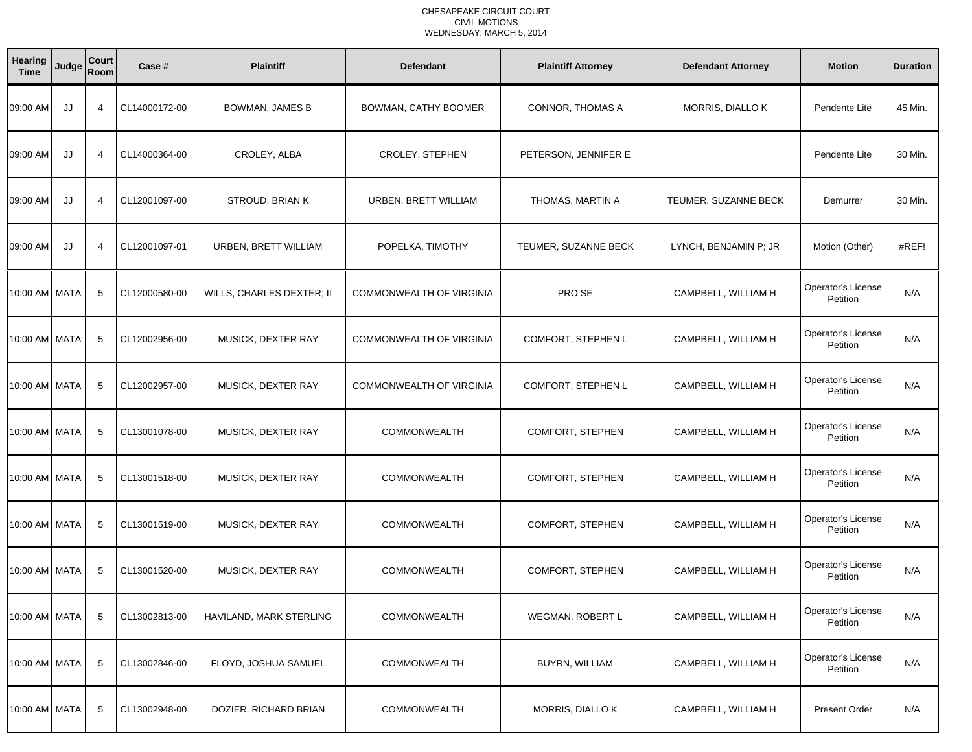#### CHESAPEAKE CIRCUIT COURT CIVIL MOTIONSWEDNESDAY, MARCH 5, 2014

| Hearing<br><b>Time</b> | Judge | Court<br>Room  | Case #        | <b>Plaintiff</b>          | <b>Defendant</b>                | <b>Plaintiff Attorney</b> | <b>Defendant Attorney</b> | <b>Motion</b>                         | <b>Duration</b> |
|------------------------|-------|----------------|---------------|---------------------------|---------------------------------|---------------------------|---------------------------|---------------------------------------|-----------------|
| 09:00 AM               | JJ    | $\overline{4}$ | CL14000172-00 | <b>BOWMAN, JAMES B</b>    | BOWMAN, CATHY BOOMER            | CONNOR, THOMAS A          | MORRIS, DIALLO K          | Pendente Lite                         | 45 Min.         |
| 09:00 AM               | JJ    | $\overline{4}$ | CL14000364-00 | CROLEY, ALBA              | CROLEY, STEPHEN                 | PETERSON, JENNIFER E      |                           | Pendente Lite                         | 30 Min.         |
| 09:00 AM               | JJ    | 4              | CL12001097-00 | STROUD, BRIAN K           | URBEN, BRETT WILLIAM            | THOMAS, MARTIN A          | TEUMER, SUZANNE BECK      | Demurrer                              | 30 Min.         |
| 09:00 AM               | JJ    | $\overline{4}$ | CL12001097-01 | URBEN, BRETT WILLIAM      | POPELKA, TIMOTHY                | TEUMER, SUZANNE BECK      | LYNCH, BENJAMIN P; JR     | Motion (Other)                        | #REF!           |
| 10:00 AM   MATA        |       | 5              | CL12000580-00 | WILLS, CHARLES DEXTER; II | <b>COMMONWEALTH OF VIRGINIA</b> | PRO SE                    | CAMPBELL, WILLIAM H       | Operator's License<br>Petition        | N/A             |
| 10:00 AM   MATA        |       | 5              | CL12002956-00 | MUSICK, DEXTER RAY        | <b>COMMONWEALTH OF VIRGINIA</b> | COMFORT, STEPHEN L        | CAMPBELL, WILLIAM H       | Operator's License<br>Petition        | N/A             |
| 10:00 AM   MATA        |       | 5              | CL12002957-00 | MUSICK, DEXTER RAY        | <b>COMMONWEALTH OF VIRGINIA</b> | COMFORT, STEPHEN L        | CAMPBELL, WILLIAM H       | Operator's License<br>Petition        | N/A             |
| 10:00 AM   MATA        |       | 5              | CL13001078-00 | MUSICK, DEXTER RAY        | <b>COMMONWEALTH</b>             | COMFORT, STEPHEN          | CAMPBELL, WILLIAM H       | Operator's License<br>Petition        | N/A             |
| 10:00 AM MATA          |       | 5              | CL13001518-00 | MUSICK, DEXTER RAY        | <b>COMMONWEALTH</b>             | COMFORT, STEPHEN          | CAMPBELL, WILLIAM H       | <b>Operator's License</b><br>Petition | N/A             |
| 10:00 AM   MATA        |       | 5              | CL13001519-00 | MUSICK, DEXTER RAY        | <b>COMMONWEALTH</b>             | COMFORT, STEPHEN          | CAMPBELL, WILLIAM H       | Operator's License<br>Petition        | N/A             |
| 10:00 AM MATA          |       | -5             | CL13001520-00 | MUSICK, DEXTER RAY        | <b>COMMONWEALTH</b>             | COMFORT, STEPHEN          | CAMPBELL, WILLIAM H       | Operator's License<br>Petition        | N/A             |
| 10:00 AM MATA          |       | 5              | CL13002813-00 | HAVILAND, MARK STERLING   | <b>COMMONWEALTH</b>             | <b>WEGMAN, ROBERT L</b>   | CAMPBELL, WILLIAM H       | Operator's License<br>Petition        | N/A             |
| 10:00 AM MATA          |       | 5              | CL13002846-00 | FLOYD, JOSHUA SAMUEL      | <b>COMMONWEALTH</b>             | BUYRN, WILLIAM            | CAMPBELL, WILLIAM H       | Operator's License<br>Petition        | N/A             |
| 10:00 AM MATA          |       | 5              | CL13002948-00 | DOZIER, RICHARD BRIAN     | <b>COMMONWEALTH</b>             | MORRIS, DIALLO K          | CAMPBELL, WILLIAM H       | <b>Present Order</b>                  | N/A             |